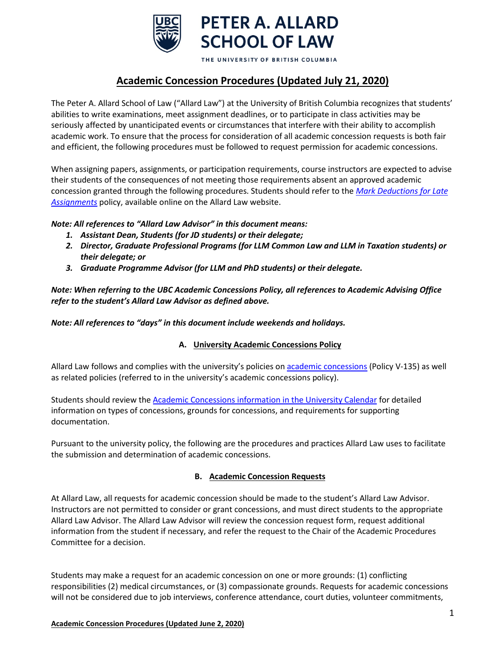

THE UNIVERSITY OF BRITISH COLUMBIA

# **Academic Concession Procedures (Updated July 21, 2020)**

The Peter A. Allard School of Law ("Allard Law") at the University of British Columbia recognizes that students' abilities to write examinations, meet assignment deadlines, or to participate in class activities may be seriously affected by unanticipated events or circumstances that interfere with their ability to accomplish academic work. To ensure that the process for consideration of all academic concession requests is both fair and efficient, the following procedures must be followed to request permission for academic concessions.

When assigning papers, assignments, or participation requirements, course instructors are expected to advise their students of the consequences of not meeting those requirements absent an approved academic concession granted through the following procedures. Students should refer to the *[Mark Deductions for Late](https://allard.ubc.ca/sites/default/files/2020-06/penalties_for_late_assignments.pdf)  [Assignments](http://www.allard.ubc.ca/sites/www.allard.ubc.ca/files/uploads/JD/penalties_for_late_assignments.pdf)* policy, available online on the Allard Law website.

# *Note: All references to "Allard Law Advisor" in this document means:*

- *1. Assistant Dean, Students (for JD students) or their delegate;*
- *2. Director, Graduate Professional Programs (for LLM Common Law and LLM in Taxation students) or their delegate; or*
- *3. Graduate Programme Advisor (for LLM and PhD students) or their delegate.*

*Note: When referring to the UBC Academic Concessions Policy, all references to Academic Advising Office refer to the student's Allard Law Advisor as defined above.*

*Note: All references to "days" in this document include weekends and holidays.*

# **A. University Academic Concessions Policy**

Allard Law follows and complies with the university's policies on [academic concessions](http://www.calendar.ubc.ca/vancouver/index.cfm?tree=3,329,0,0) (Policy V-135) as well as related policies (referred to in the university's academic concessions policy).

Students should review the [Academic Concessions information in the University Calendar](http://www.calendar.ubc.ca/vancouver/index.cfm?tree=3,329,0,0) for detailed information on types of concessions, grounds for concessions, and requirements for supporting documentation.

Pursuant to the university policy, the following are the procedures and practices Allard Law uses to facilitate the submission and determination of academic concessions.

### **B. Academic Concession Requests**

At Allard Law, all requests for academic concession should be made to the student's Allard Law Advisor. Instructors are not permitted to consider or grant concessions, and must direct students to the appropriate Allard Law Advisor. The Allard Law Advisor will review the concession request form, request additional information from the student if necessary, and refer the request to the Chair of the Academic Procedures Committee for a decision.

Students may make a request for an academic concession on one or more grounds: (1) conflicting responsibilities (2) medical circumstances, or (3) compassionate grounds. Requests for academic concessions will not be considered due to job interviews, conference attendance, court duties, volunteer commitments,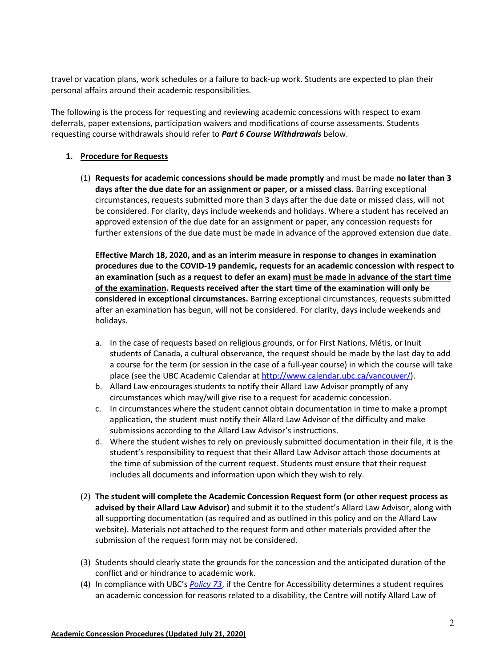travel or vacation plans, work schedules or a failure to back-up work. Students are expected to plan their personal affairs around their academic responsibilities.

The following is the process for requesting and reviewing academic concessions with respect to exam deferrals, paper extensions, participation waivers and modifications of course assessments. Students requesting course withdrawals should refer to *Part 6 Course Withdrawals* below.

### **1. Procedure for Requests**

(1) **Requests for academic concessions should be made promptly** and must be made **no later than 3 days after the due date for an assignment or paper, or a missed class.** Barring exceptional circumstances, requests submitted more than 3 days after the due date or missed class, will not be considered. For clarity, days include weekends and holidays. Where a student has received an approved extension of the due date for an assignment or paper, any concession requests for further extensions of the due date must be made in advance of the approved extension due date.

**Effective March 18, 2020, and as an interim measure in response to changes in examination procedures due to the COVID-19 pandemic, requests for an academic concession with respect to an examination (such as a request to defer an exam) must be made in advance of the start time of the examination. Requests received after the start time of the examination will only be considered in exceptional circumstances.** Barring exceptional circumstances, requests submitted after an examination has begun, will not be considered. For clarity, days include weekends and holidays.

- a. In the case of requests based on religious grounds, or for First Nations, Métis, or Inuit students of Canada, a cultural observance, the request should be made by the last day to add a course for the term (or session in the case of a full-year course) in which the course will take place (see the UBC Academic Calendar a[t http://www.calendar.ubc.ca/vancouver/\)](http://www.calendar.ubc.ca/vancouver/).
- b. Allard Law encourages students to notify their Allard Law Advisor promptly of any circumstances which may/will give rise to a request for academic concession.
- c. In circumstances where the student cannot obtain documentation in time to make a prompt application, the student must notify their Allard Law Advisor of the difficulty and make submissions according to the Allard Law Advisor's instructions.
- d. Where the student wishes to rely on previously submitted documentation in their file, it is the student's responsibility to request that their Allard Law Advisor attach those documents at the time of submission of the current request. Students must ensure that their request includes all documents and information upon which they wish to rely.
- (2) **The student will complete the Academic Concession Request form (or other request process as advised by their Allard Law Advisor)** and submit it to the student's Allard Law Advisor, along with all supporting documentation (as required and as outlined in this policy and on the Allard Law website). Materials not attached to the request form and other materials provided after the submission of the request form may not be considered.
- (3) Students should clearly state the grounds for the concession and the anticipated duration of the conflict and or hindrance to academic work.
- (4) In compliance with UBC's *[Policy 73](https://universitycounsel2.sites.olt.ubc.ca/files/2019/08/Disability-Accommodation-Policy_LR7.pdf)*, if the Centre for Accessibility determines a student requires an academic concession for reasons related to a disability, the Centre will notify Allard Law of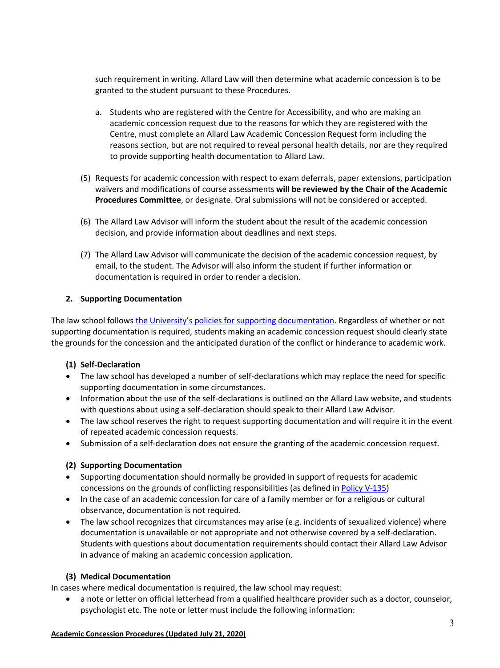such requirement in writing. Allard Law will then determine what academic concession is to be granted to the student pursuant to these Procedures.

- a. Students who are registered with the Centre for Accessibility, and who are making an academic concession request due to the reasons for which they are registered with the Centre, must complete an Allard Law Academic Concession Request form including the reasons section, but are not required to reveal personal health details, nor are they required to provide supporting health documentation to Allard Law.
- (5) Requests for academic concession with respect to exam deferrals, paper extensions, participation waivers and modifications of course assessments **will be reviewed by the Chair of the Academic Procedures Committee**, or designate. Oral submissions will not be considered or accepted.
- (6) The Allard Law Advisor will inform the student about the result of the academic concession decision, and provide information about deadlines and next steps.
- (7) The Allard Law Advisor will communicate the decision of the academic concession request, by email, to the student. The Advisor will also inform the student if further information or documentation is required in order to render a decision.

### **2. Supporting Documentation**

The law school follows [the University's policies for supporting documentation.](http://www.calendar.ubc.ca/vancouver/index.cfm?tree=3,329,0,0) Regardless of whether or not supporting documentation is required, students making an academic concession request should clearly state the grounds for the concession and the anticipated duration of the conflict or hinderance to academic work.

### **(1) Self-Declaration**

- The law school has developed a number of self-declarations which may replace the need for specific supporting documentation in some circumstances.
- Information about the use of the self-declarations is outlined on the Allard Law website, and students with questions about using a self-declaration should speak to their Allard Law Advisor.
- The law school reserves the right to request supporting documentation and will require it in the event of repeated academic concession requests.
- Submission of a self-declaration does not ensure the granting of the academic concession request.

### **(2) Supporting Documentation**

- Supporting documentation should normally be provided in support of requests for academic concessions on the grounds of conflicting responsibilities (as defined in [Policy V-135\)](http://www.calendar.ubc.ca/vancouver/index.cfm?tree=3,329,0,0)
- In the case of an academic concession for care of a family member or for a religious or cultural observance, documentation is not required.
- The law school recognizes that circumstances may arise (e.g. incidents of sexualized violence) where documentation is unavailable or not appropriate and not otherwise covered by a self-declaration. Students with questions about documentation requirements should contact their Allard Law Advisor in advance of making an academic concession application.

### **(3) Medical Documentation**

In cases where medical documentation is required, the law school may request:

• a note or letter on official letterhead from a qualified healthcare provider such as a doctor, counselor, psychologist etc. The note or letter must include the following information:

#### **Academic Concession Procedures (Updated July 21, 2020)**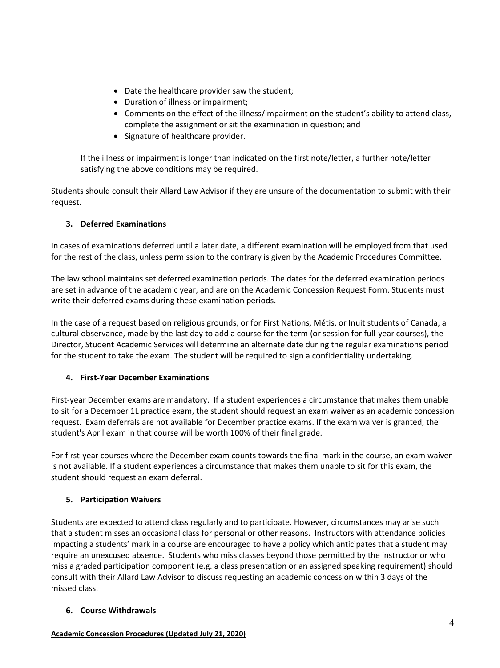- Date the healthcare provider saw the student;
- Duration of illness or impairment;
- Comments on the effect of the illness/impairment on the student's ability to attend class, complete the assignment or sit the examination in question; and
- Signature of healthcare provider.

If the illness or impairment is longer than indicated on the first note/letter, a further note/letter satisfying the above conditions may be required.

Students should consult their Allard Law Advisor if they are unsure of the documentation to submit with their request.

# **3. Deferred Examinations**

In cases of examinations deferred until a later date, a different examination will be employed from that used for the rest of the class, unless permission to the contrary is given by the Academic Procedures Committee.

The law school maintains set deferred examination periods. The dates for the deferred examination periods are set in advance of the academic year, and are on the Academic Concession Request Form. Students must write their deferred exams during these examination periods.

In the case of a request based on religious grounds, or for First Nations, Métis, or Inuit students of Canada, a cultural observance, made by the last day to add a course for the term (or session for full-year courses), the Director, Student Academic Services will determine an alternate date during the regular examinations period for the student to take the exam. The student will be required to sign a confidentiality undertaking.

### **4. First-Year December Examinations**

First-year December exams are mandatory. If a student experiences a circumstance that makes them unable to sit for a December 1L practice exam, the student should request an exam waiver as an academic concession request. Exam deferrals are not available for December practice exams. If the exam waiver is granted, the student's April exam in that course will be worth 100% of their final grade.

For first-year courses where the December exam counts towards the final mark in the course, an exam waiver is not available. If a student experiences a circumstance that makes them unable to sit for this exam, the student should request an exam deferral.

# **5. Participation Waivers**

Students are expected to attend class regularly and to participate. However, circumstances may arise such that a student misses an occasional class for personal or other reasons. Instructors with attendance policies impacting a students' mark in a course are encouraged to have a policy which anticipates that a student may require an unexcused absence. Students who miss classes beyond those permitted by the instructor or who miss a graded participation component (e.g. a class presentation or an assigned speaking requirement) should consult with their Allard Law Advisor to discuss requesting an academic concession within 3 days of the missed class.

### **6. Course Withdrawals**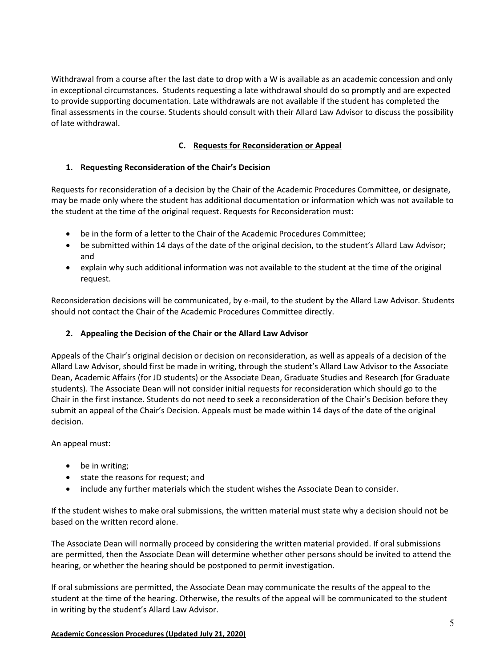Withdrawal from a course after the last date to drop with a W is available as an academic concession and only in exceptional circumstances. Students requesting a late withdrawal should do so promptly and are expected to provide supporting documentation. Late withdrawals are not available if the student has completed the final assessments in the course. Students should consult with their Allard Law Advisor to discuss the possibility of late withdrawal.

# **C. Requests for Reconsideration or Appeal**

### **1. Requesting Reconsideration of the Chair's Decision**

Requests for reconsideration of a decision by the Chair of the Academic Procedures Committee, or designate, may be made only where the student has additional documentation or information which was not available to the student at the time of the original request. Requests for Reconsideration must:

- be in the form of a letter to the Chair of the Academic Procedures Committee;
- be submitted within 14 days of the date of the original decision, to the student's Allard Law Advisor; and
- explain why such additional information was not available to the student at the time of the original request.

Reconsideration decisions will be communicated, by e-mail, to the student by the Allard Law Advisor. Students should not contact the Chair of the Academic Procedures Committee directly.

### **2. Appealing the Decision of the Chair or the Allard Law Advisor**

Appeals of the Chair's original decision or decision on reconsideration, as well as appeals of a decision of the Allard Law Advisor, should first be made in writing, through the student's Allard Law Advisor to the Associate Dean, Academic Affairs (for JD students) or the Associate Dean, Graduate Studies and Research (for Graduate students). The Associate Dean will not consider initial requests for reconsideration which should go to the Chair in the first instance. Students do not need to seek a reconsideration of the Chair's Decision before they submit an appeal of the Chair's Decision. Appeals must be made within 14 days of the date of the original decision.

An appeal must:

- be in writing;
- state the reasons for request; and
- include any further materials which the student wishes the Associate Dean to consider.

If the student wishes to make oral submissions, the written material must state why a decision should not be based on the written record alone.

The Associate Dean will normally proceed by considering the written material provided. If oral submissions are permitted, then the Associate Dean will determine whether other persons should be invited to attend the hearing, or whether the hearing should be postponed to permit investigation.

If oral submissions are permitted, the Associate Dean may communicate the results of the appeal to the student at the time of the hearing. Otherwise, the results of the appeal will be communicated to the student in writing by the student's Allard Law Advisor.